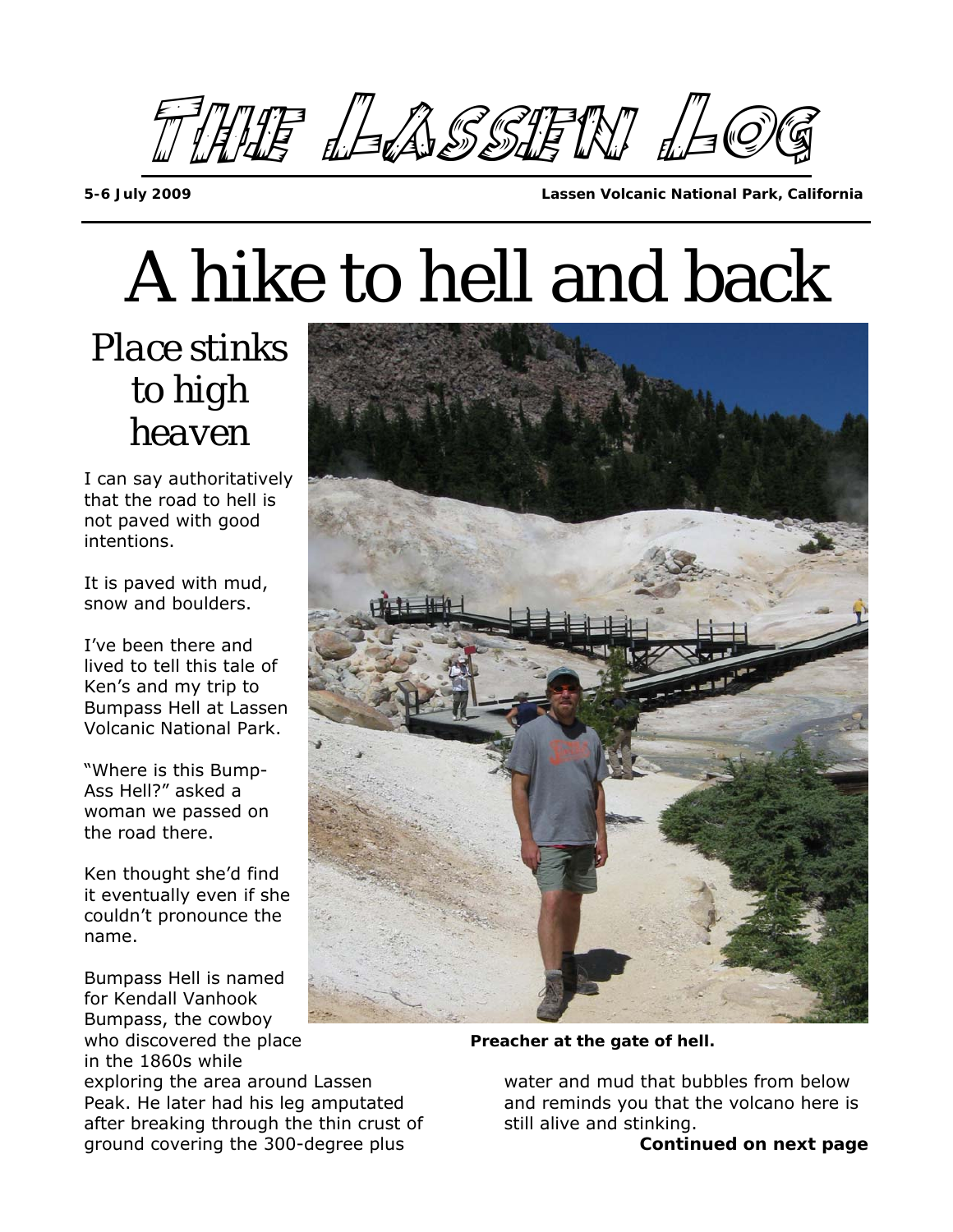

A hike to hell and back

*Place stinks to high heaven* 

I can say authoritatively that the road to hell is not paved with good intentions.

It is paved with mud, snow and boulders.

I've been there and lived to tell this tale of Ken's and my trip to Bumpass Hell at Lassen Volcanic National Park.

"Where is this Bump-Ass Hell?" asked a woman we passed on the road there.

Ken thought she'd find it eventually even if she couldn't pronounce the name.

Bumpass Hell is named for Kendall Vanhook Bumpass, the cowboy who discovered the place **Preacher at the gate of hell.** in the 1860s while exploring the area around Lassen Peak. He later had his leg amputated after breaking through the thin crust of ground covering the 300-degree plus



water and mud that bubbles from below and reminds you that the volcano here is still alive and stinking.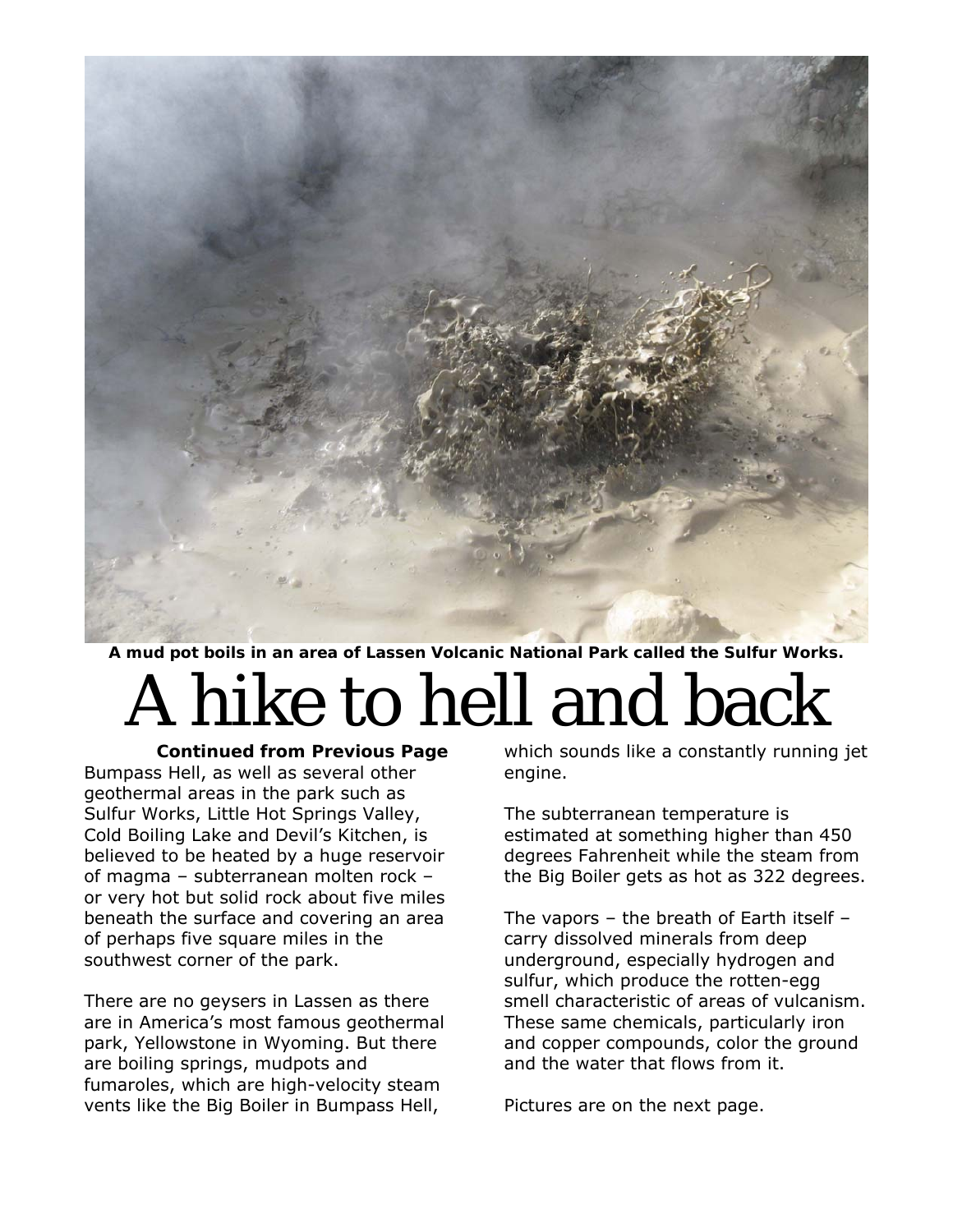

**A mud pot boils in an area of Lassen Volcanic National Park called the Sulfur Works.** 

## A hike to hell and back

*Continued from Previous Page*  Bumpass Hell, as well as several other geothermal areas in the park such as Sulfur Works, Little Hot Springs Valley, Cold Boiling Lake and Devil's Kitchen, is believed to be heated by a huge reservoir of magma – subterranean molten rock – or very hot but solid rock about five miles beneath the surface and covering an area of perhaps five square miles in the southwest corner of the park.

There are no geysers in Lassen as there are in America's most famous geothermal park, Yellowstone in Wyoming. But there are boiling springs, mudpots and fumaroles, which are high-velocity steam vents like the Big Boiler in Bumpass Hell,

which sounds like a constantly running jet engine.

The subterranean temperature is estimated at something higher than 450 degrees Fahrenheit while the steam from the Big Boiler gets as hot as 322 degrees.

The vapors – the breath of Earth itself – carry dissolved minerals from deep underground, especially hydrogen and sulfur, which produce the rotten-egg smell characteristic of areas of vulcanism. These same chemicals, particularly iron and copper compounds, color the ground and the water that flows from it.

Pictures are on the next page.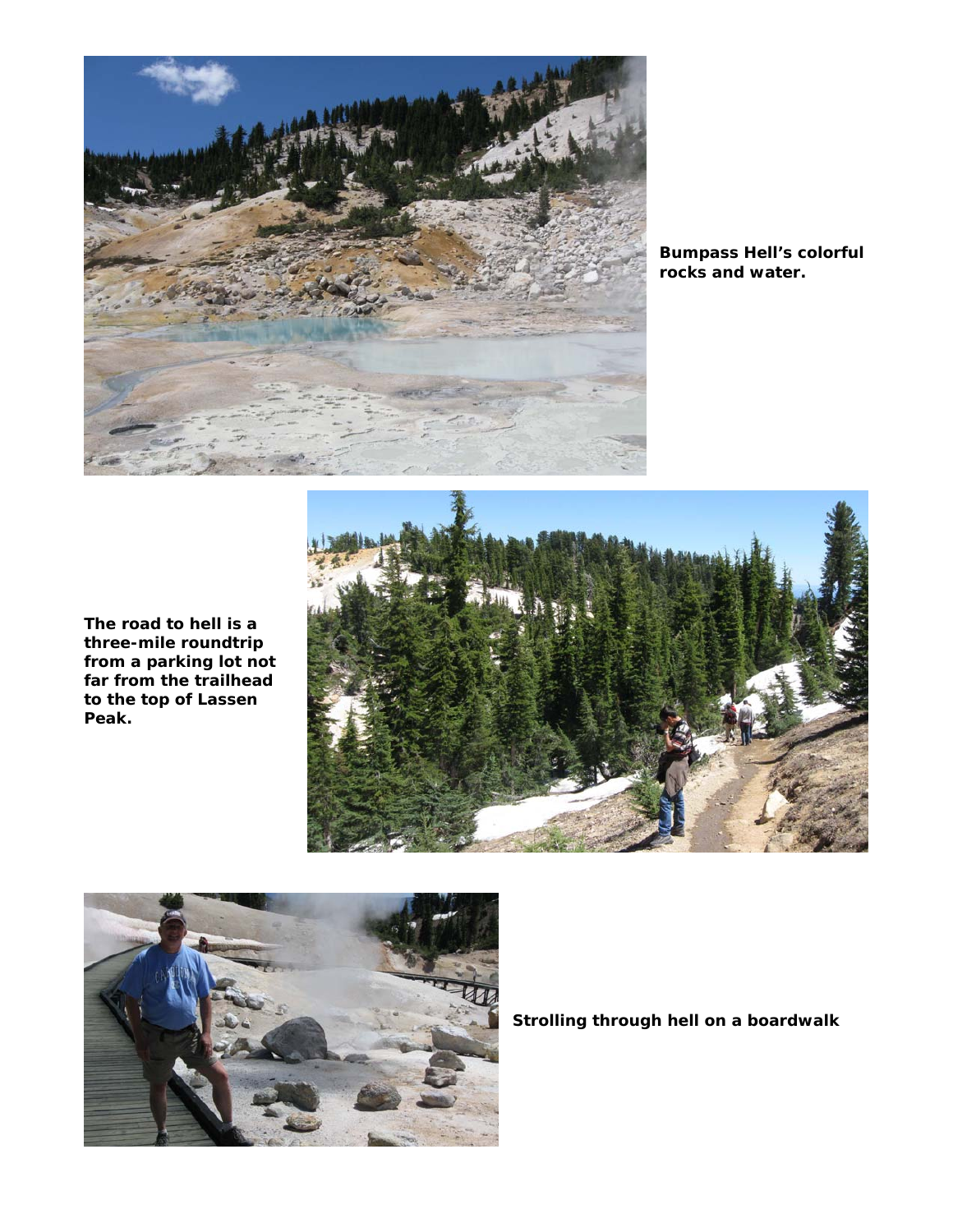

**Bumpass Hell's colorful rocks and water.** 







**Strolling through hell on a boardwalk**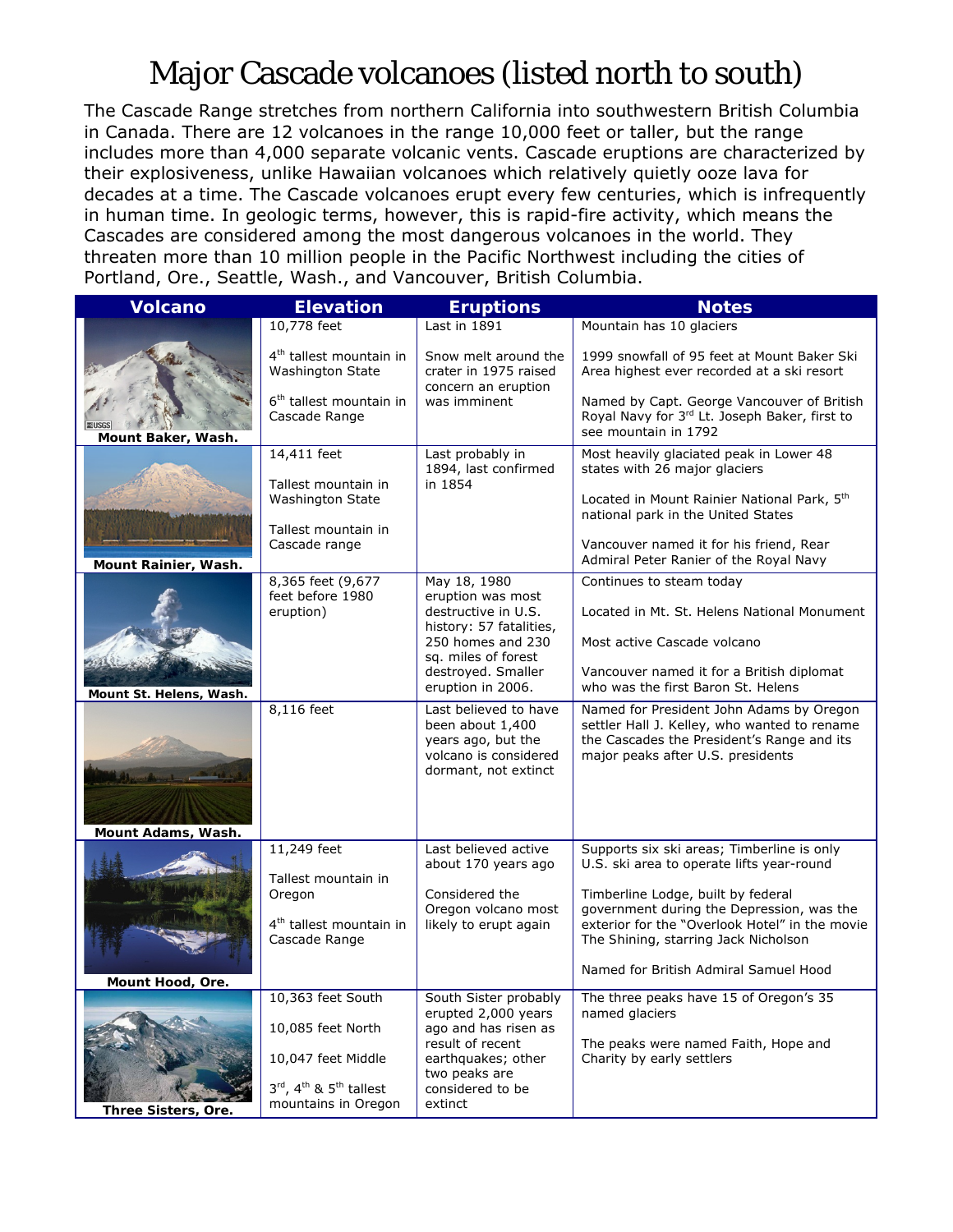## Major Cascade volcanoes (listed north to south)

The Cascade Range stretches from northern California into southwestern British Columbia in Canada. There are 12 volcanoes in the range 10,000 feet or taller, but the range includes more than 4,000 separate volcanic vents. Cascade eruptions are characterized by their explosiveness, unlike Hawaiian volcanoes which relatively quietly ooze lava for decades at a time. The Cascade volcanoes erupt every few centuries, which is infrequently in human time. In geologic terms, however, this is rapid-fire activity, which means the Cascades are considered among the most dangerous volcanoes in the world. They threaten more than 10 million people in the Pacific Northwest including the cities of Portland, Ore., Seattle, Wash., and Vancouver, British Columbia.

| <b>Volcano</b>          | <b>Elevation</b>                                                                                                | <b>Eruptions</b>                                                                                                                                           | <b>Notes</b>                                                                                                                                                                                                                                                    |
|-------------------------|-----------------------------------------------------------------------------------------------------------------|------------------------------------------------------------------------------------------------------------------------------------------------------------|-----------------------------------------------------------------------------------------------------------------------------------------------------------------------------------------------------------------------------------------------------------------|
|                         | 10,778 feet                                                                                                     | Last in 1891                                                                                                                                               | Mountain has 10 glaciers                                                                                                                                                                                                                                        |
|                         | 4 <sup>th</sup> tallest mountain in<br>Washington State<br>6 <sup>th</sup> tallest mountain in<br>Cascade Range | Snow melt around the<br>crater in 1975 raised<br>concern an eruption<br>was imminent                                                                       | 1999 snowfall of 95 feet at Mount Baker Ski<br>Area highest ever recorded at a ski resort<br>Named by Capt. George Vancouver of British<br>Royal Navy for 3rd Lt. Joseph Baker, first to                                                                        |
| Mount Baker, Wash.      |                                                                                                                 |                                                                                                                                                            | see mountain in 1792                                                                                                                                                                                                                                            |
| Mount Rainier, Wash.    | 14,411 feet<br>Tallest mountain in<br>Washington State<br>Tallest mountain in<br>Cascade range                  | Last probably in<br>1894, last confirmed<br>in 1854                                                                                                        | Most heavily glaciated peak in Lower 48<br>states with 26 major glaciers<br>Located in Mount Rainier National Park, 5th<br>national park in the United States<br>Vancouver named it for his friend, Rear<br>Admiral Peter Ranier of the Royal Navy              |
|                         | 8,365 feet (9,677                                                                                               | May 18, 1980                                                                                                                                               | Continues to steam today                                                                                                                                                                                                                                        |
|                         | feet before 1980<br>eruption)                                                                                   | eruption was most<br>destructive in U.S.<br>history: 57 fatalities,<br>250 homes and 230<br>sq. miles of forest<br>destroyed. Smaller<br>eruption in 2006. | Located in Mt. St. Helens National Monument<br>Most active Cascade volcano<br>Vancouver named it for a British diplomat<br>who was the first Baron St. Helens                                                                                                   |
| Mount St. Helens, Wash. | 8,116 feet                                                                                                      | Last believed to have                                                                                                                                      | Named for President John Adams by Oregon                                                                                                                                                                                                                        |
| Mount Adams, Wash.      |                                                                                                                 | been about 1,400<br>years ago, but the<br>volcano is considered<br>dormant, not extinct                                                                    | settler Hall J. Kelley, who wanted to rename<br>the Cascades the President's Range and its<br>major peaks after U.S. presidents                                                                                                                                 |
|                         | 11,249 feet                                                                                                     | Last believed active                                                                                                                                       | Supports six ski areas; Timberline is only                                                                                                                                                                                                                      |
| Mount Hood, Ore.        | Tallest mountain in<br>Oregon<br>4 <sup>th</sup> tallest mountain in<br>Cascade Range                           | about 170 years ago<br>Considered the<br>Oregon volcano most<br>likely to erupt again                                                                      | U.S. ski area to operate lifts year-round<br>Timberline Lodge, built by federal<br>government during the Depression, was the<br>exterior for the "Overlook Hotel" in the movie<br>The Shining, starring Jack Nicholson<br>Named for British Admiral Samuel Hood |
|                         | 10,363 feet South                                                                                               | South Sister probably                                                                                                                                      | The three peaks have 15 of Oregon's 35                                                                                                                                                                                                                          |
|                         | 10,085 feet North<br>10,047 feet Middle<br>3rd, 4 <sup>th</sup> & 5 <sup>th</sup> tallest                       | erupted 2,000 years<br>ago and has risen as<br>result of recent<br>earthquakes; other<br>two peaks are<br>considered to be                                 | named glaciers<br>The peaks were named Faith, Hope and<br>Charity by early settlers                                                                                                                                                                             |
| Three Sisters, Ore.     | mountains in Oregon                                                                                             | extinct                                                                                                                                                    |                                                                                                                                                                                                                                                                 |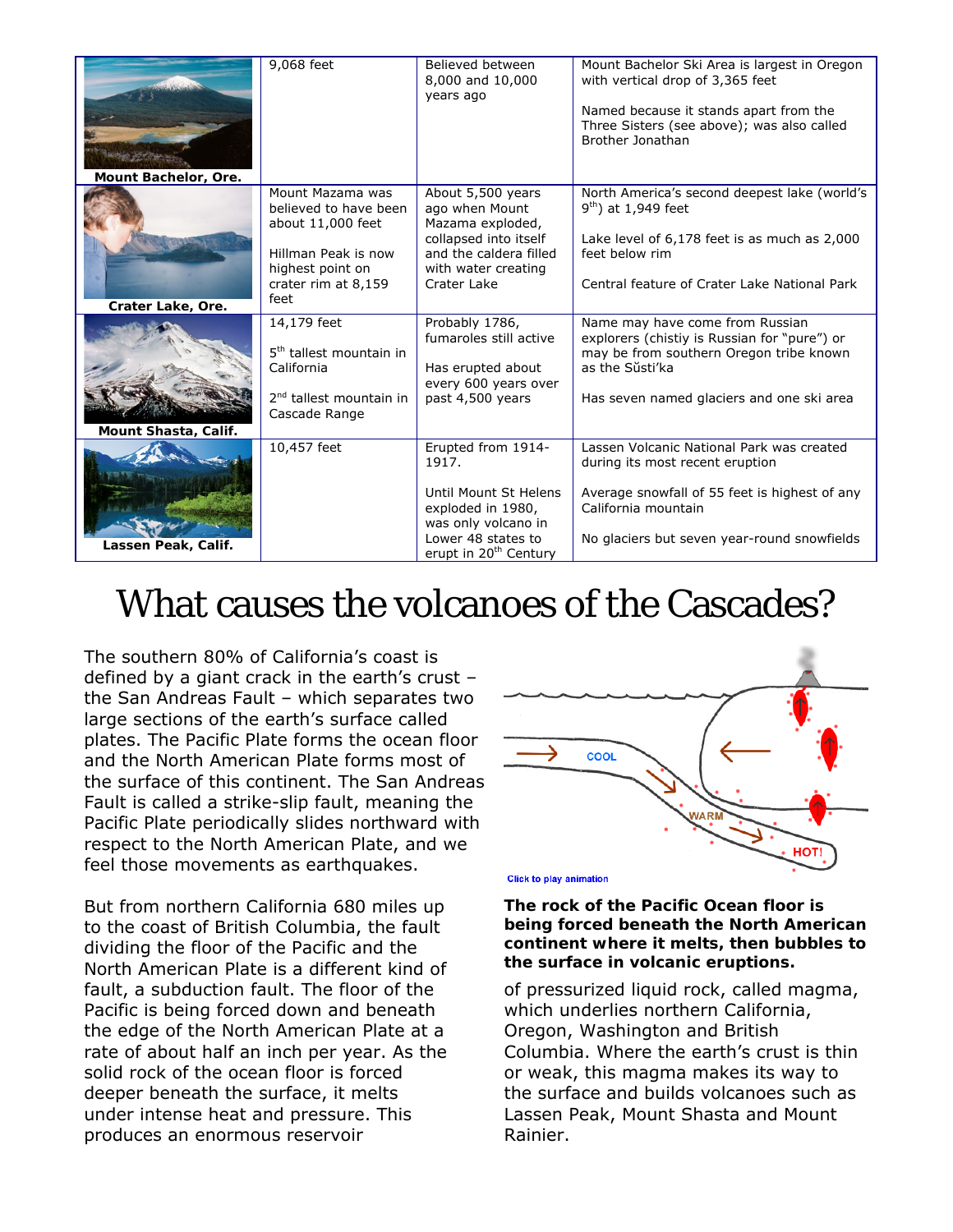| Mount Bachelor, Ore. | 9,068 feet                                                                                                                               | Believed between<br>8,000 and 10,000<br>years ago                                                                                                           | Mount Bachelor Ski Area is largest in Oregon<br>with vertical drop of 3,365 feet<br>Named because it stands apart from the<br>Three Sisters (see above); was also called<br>Brother Jonathan        |
|----------------------|------------------------------------------------------------------------------------------------------------------------------------------|-------------------------------------------------------------------------------------------------------------------------------------------------------------|-----------------------------------------------------------------------------------------------------------------------------------------------------------------------------------------------------|
| Crater Lake, Ore.    | Mount Mazama was<br>believed to have been<br>about 11,000 feet<br>Hillman Peak is now<br>highest point on<br>crater rim at 8,159<br>feet | About 5,500 years<br>ago when Mount<br>Mazama exploded,<br>collapsed into itself<br>and the caldera filled<br>with water creating<br>Crater Lake            | North America's second deepest lake (world's<br>$9th$ ) at 1,949 feet<br>Lake level of 6,178 feet is as much as 2,000<br>feet below rim<br>Central feature of Crater Lake National Park             |
| Mount Shasta, Calif. | 14,179 feet<br>5 <sup>th</sup> tallest mountain in<br>California<br>2 <sup>nd</sup> tallest mountain in<br>Cascade Range                 | Probably 1786,<br>fumaroles still active<br>Has erupted about<br>every 600 years over<br>past 4,500 years                                                   | Name may have come from Russian<br>explorers ( <i>chistiy</i> is Russian for "pure") or<br>may be from southern Oregon tribe known<br>as the Sŭsti'ka<br>Has seven named glaciers and one ski area  |
| Lassen Peak, Calif.  | 10,457 feet                                                                                                                              | Erupted from 1914-<br>1917.<br>Until Mount St Helens<br>exploded in 1980,<br>was only volcano in<br>Lower 48 states to<br>erupt in 20 <sup>th</sup> Century | Lassen Volcanic National Park was created<br>during its most recent eruption<br>Average snowfall of 55 feet is highest of any<br>California mountain<br>No glaciers but seven year-round snowfields |

## What causes the volcanoes of the Cascades?

The southern 80% of California's coast is defined by a giant crack in the earth's crust – the San Andreas Fault – which separates two large sections of the earth's surface called plates. The Pacific Plate forms the ocean floor and the North American Plate forms most of the surface of this continent. The San Andreas Fault is called a strike-slip fault, meaning the Pacific Plate periodically slides northward with respect to the North American Plate, and we feel those movements as earthquakes.

But from northern California 680 miles up to the coast of British Columbia, the fault dividing the floor of the Pacific and the North American Plate is a different kind of fault, a subduction fault. The floor of the Pacific is being forced down and beneath the edge of the North American Plate at a rate of about half an inch per year. As the solid rock of the ocean floor is forced deeper beneath the surface, it melts under intense heat and pressure. This produces an enormous reservoir



**Click to play animation** 

**The rock of the Pacific Ocean floor is being forced beneath the North American continent where it melts, then bubbles to the surface in volcanic eruptions.** 

of pressurized liquid rock, called magma, which underlies northern California, Oregon, Washington and British Columbia. Where the earth's crust is thin or weak, this magma makes its way to the surface and builds volcanoes such as Lassen Peak, Mount Shasta and Mount Rainier.